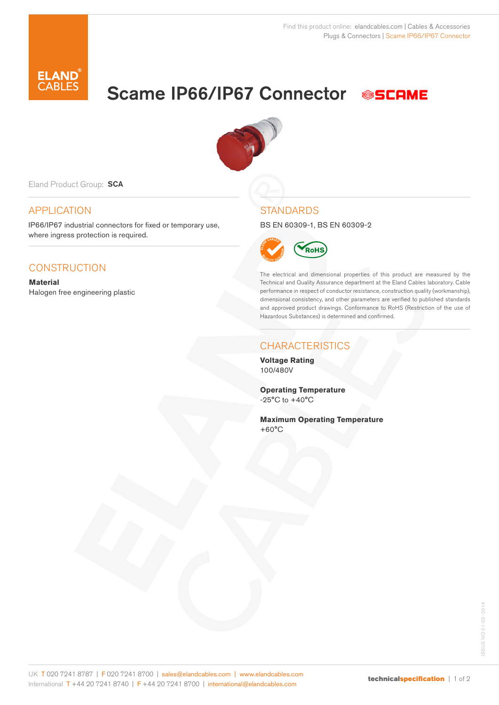

# Scame IP66/IP67 Connector SSCAME



Eland Product Group: SCA

### APPLICATION

IP66/IP67 industrial connectors for fixed or temporary use, where ingress protection is required.

## **CONSTRUCTION**

**Material** Halogen free engineering plastic

#### **STANDARDS**

BS EN 60309-1, BS EN 60309-2



The electrical and dimensional properties of this product are measured by the Technical and Quality Assurance department at the Eland Cables laboratory. Cable performance in respect of conductor resistance, construction quality (workmanship), dimensional consistency, and other parameters are verified to published standards and approved product drawings. Conformance to RoHS (Restriction of the use of Hazardous Substances) is determined and confirmed.

#### **CHARACTERISTICS**

**Voltage Rating** 100/480V

**Operating Temperature**  $-25^{\circ}$ C to  $+40^{\circ}$ C

**Maximum Operating Temperature** +60°C